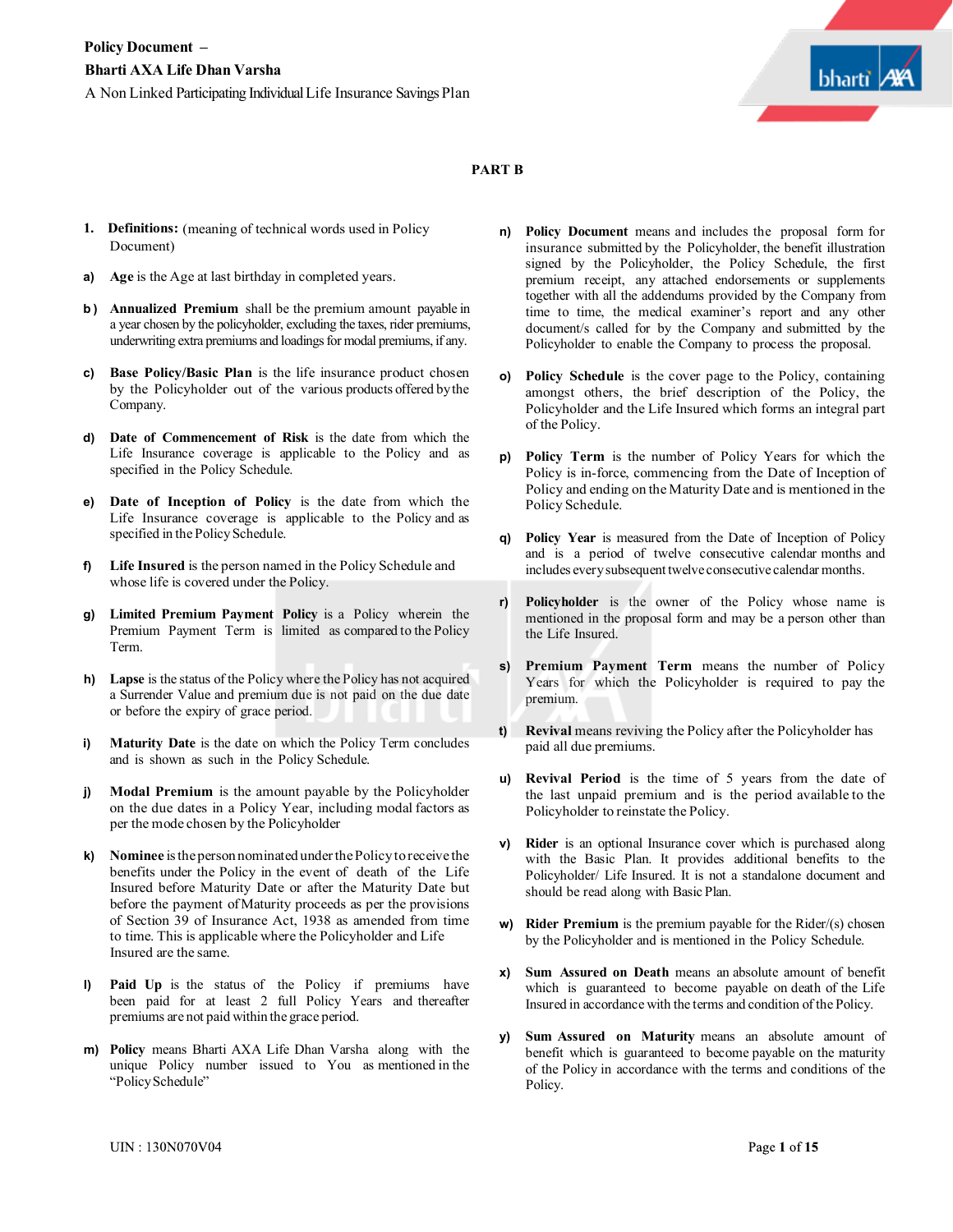

#### **PART B**

- **1. Definitions:** (meaning of technical words used in Policy Document)
- **a) Age** is the Age at last birthday in completed years.
- **b ) Annualized Premium** shall be the premium amount payable in a year chosen by the policyholder, excluding the taxes, rider premiums, underwriting extra premiums and loadings for modal premiums, if any.
- **c) Base Policy/Basic Plan** is the life insurance product chosen by the Policyholder out of the various products offered bythe Company.
- **d) Date of Commencement of Risk** is the date from which the Life Insurance coverage is applicable to the Policy and as specified in the Policy Schedule.
- **e) Date of Inception of Policy** is the date from which the Life Insurance coverage is applicable to the Policy and as specified in the Policy Schedule.
- **f) Life Insured** is the person named in the Policy Schedule and whose life is covered under the Policy.
- **g) Limited Premium Payment Policy** is a Policy wherein the Premium Payment Term is limited as compared to the Policy Term.
- **h) Lapse** is the status of the Policy where the Policy has not acquired a Surrender Value and premium due is not paid on the due date or before the expiry of grace period.
- **i) Maturity Date** is the date on which the Policy Term concludes and is shown as such in the Policy Schedule.
- **j) Modal Premium** is the amount payable by the Policyholder on the due dates in a Policy Year, including modal factors as per the mode chosen by the Policyholder
- **k) Nominee** istheperson nominated underthePolicytoreceive the benefits under the Policy in the event of death of the Life Insured before Maturity Date or after the Maturity Date but before the payment ofMaturity proceeds as per the provisions of Section 39 of Insurance Act, 1938 as amended from time to time. This is applicable where the Policyholder and Life Insured are the same.
- **l) Paid Up** is the status of the Policy if premiums have been paid for at least 2 full Policy Years and thereafter premiums are not paid within the grace period.
- **m) Policy** means Bharti AXA Life Dhan Varsha along with the unique Policy number issued to You as mentioned in the "PolicySchedule"
- **n) Policy Document** means and includes the proposal form for insurance submitted by the Policyholder, the benefit illustration signed by the Policyholder, the Policy Schedule, the first premium receipt, any attached endorsements or supplements together with all the addendums provided by the Company from time to time, the medical examiner's report and any other document/s called for by the Company and submitted by the Policyholder to enable the Company to process the proposal.
- **o) Policy Schedule** is the cover page to the Policy, containing amongst others, the brief description of the Policy, the Policyholder and the Life Insured which forms an integral part of the Policy.
- **p) Policy Term** is the number of Policy Years for which the Policy is in-force, commencing from the Date of Inception of Policy and ending on the Maturity Date and is mentioned in the Policy Schedule.
- **q) Policy Year** is measured from the Date of Inception of Policy and is a period of twelve consecutive calendar months and includes everysubsequent twelve consecutive calendar months.
- **r) Policyholder** is the owner of the Policy whose name is mentioned in the proposal form and may be a person other than the Life Insured.
- **s) Premium Payment Term** means the number of Policy Years for which the Policyholder is required to pay the premium.
- **t) Revival** means reviving the Policy after the Policyholder has paid all due premiums.
- **u) Revival Period** is the time of 5 years from the date of the last unpaid premium and is the period available to the Policyholder to reinstate the Policy.
- **v) Rider** is an optional Insurance cover which is purchased along with the Basic Plan. It provides additional benefits to the Policyholder/ Life Insured. It is not a standalone document and should be read along with Basic Plan.
- **w) Rider Premium** is the premium payable for the Rider/(s) chosen by the Policyholder and is mentioned in the Policy Schedule.
- **x) Sum Assured on Death** means an absolute amount of benefit which is guaranteed to become payable on death of the Life Insured in accordance with the terms and condition of the Policy.
- **y) Sum Assured on Maturity** means an absolute amount of benefit which is guaranteed to become payable on the maturity of the Policy in accordance with the terms and conditions of the Policy.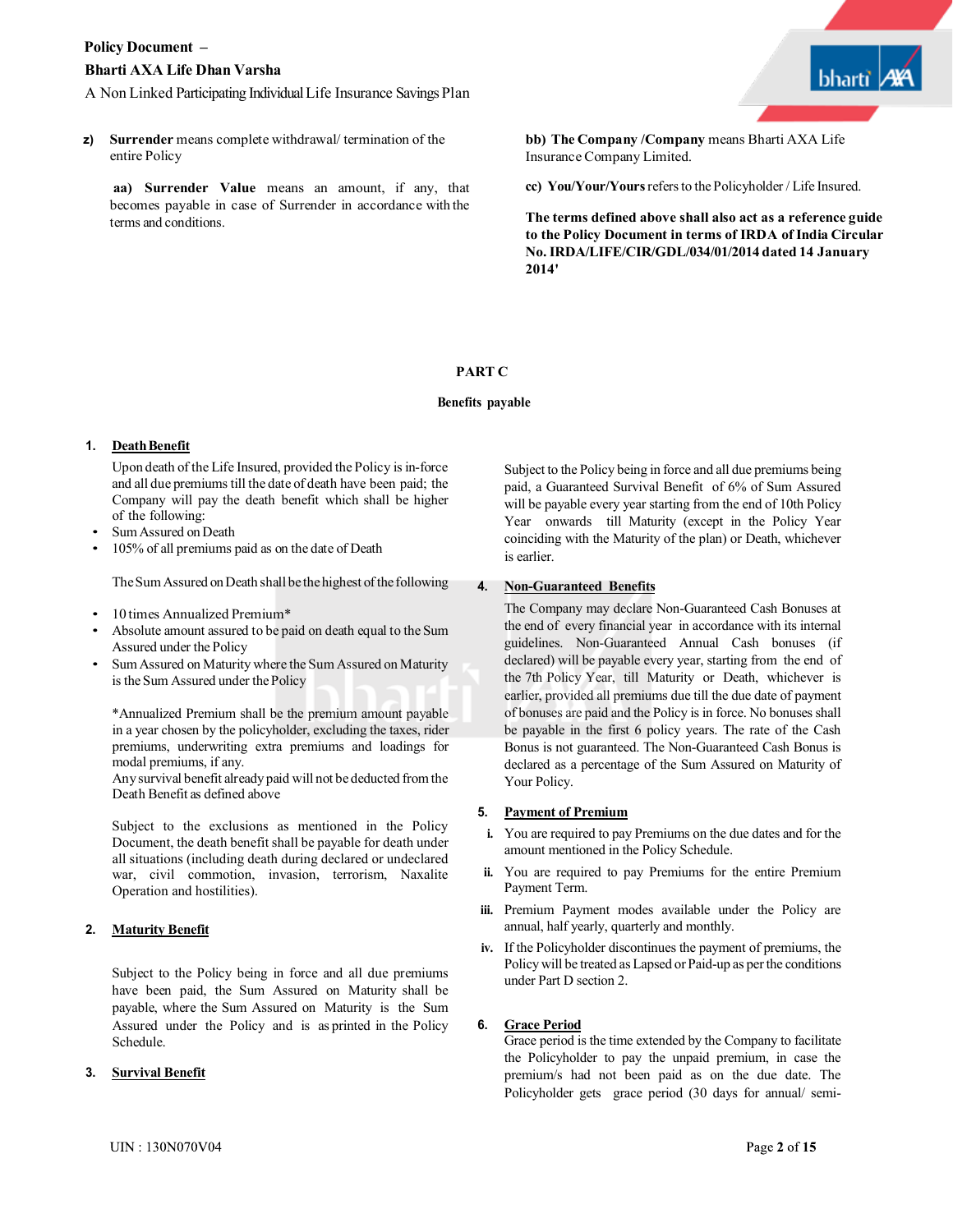



**z) Surrender** means complete withdrawal/ termination of the entire Policy

**aa) Surrender Value** means an amount, if any, that becomes payable in case of Surrender in accordance with the terms and conditions.

**bb) The Company /Company** means Bharti AXA Life Insurance Company Limited.

**cc) You/Your/Yours**refersto the Policyholder / Life Insured.

**The terms defined above shall also act as a reference guide to the Policy Document in terms of IRDA of India Circular No.IRDA/LIFE/CIR/GDL/034/01/2014 dated 14 January 2014'**

# **PART C**

#### **Benefits payable**

# 1. **Death Benefit**

Upon death of the Life Insured, provided the Policy is in-force and all due premiums till the date of death have been paid; the Company will pay the death benefit which shall be higher of the following:

- Sum Assured on Death
- 105% of all premiums paid as on the date of Death

The Sum Assured on Death shall be the highest of the following

- 10 times Annualized Premium\*
- Absolute amount assured to be paid on death equal to the Sum Assured under the Policy
- Sum Assured on Maturity where the Sum Assured on Maturity is the Sum Assured under the Policy

\*Annualized Premium shall be the premium amount payable in a year chosen by the policyholder, excluding the taxes, rider premiums, underwriting extra premiums and loadings for modal premiums, if any.

Anysurvival benefit already paid will not be deducted fromthe Death Benefit as defined above

Subject to the exclusions as mentioned in the Policy Document, the death benefit shall be payable for death under all situations (including death during declared or undeclared war, civil commotion, invasion, terrorism, Naxalite Operation and hostilities).

# **2. Maturity Benefit**

Subject to the Policy being in force and all due premiums have been paid, the Sum Assured on Maturity shall be payable, where the Sum Assured on Maturity is the Sum Assured under the Policy and is as printed in the Policy Schedule.

#### **3. Survival Benefit**

Subject to the Policy being in force and all due premiums being paid, a Guaranteed Survival Benefit of 6% of Sum Assured will be payable every year starting from the end of 10th Policy Year onwards till Maturity (except in the Policy Year coinciding with the Maturity of the plan) or Death, whichever is earlier.

### **4. Non-Guaranteed Benefits**

The Company may declare Non-Guaranteed Cash Bonuses at the end of every financial year in accordance with its internal guidelines. Non-Guaranteed Annual Cash bonuses (if declared) will be payable every year, starting from the end of the 7th Policy Year, till Maturity or Death, whichever is earlier, provided all premiums due till the due date of payment of bonuses are paid and the Policy is in force. No bonuses shall be payable in the first 6 policy years. The rate of the Cash Bonus is not guaranteed. The Non-Guaranteed Cash Bonus is declared as a percentage of the Sum Assured on Maturity of Your Policy.

#### **5. Payment of Premium**

- **i.** You are required to pay Premiums on the due dates and for the amount mentioned in the Policy Schedule.
- **ii.** You are required to pay Premiums for the entire Premium Payment Term.
- **iii.** Premium Payment modes available under the Policy are annual, half yearly, quarterly and monthly.
- **iv.** If the Policyholder discontinues the payment of premiums, the Policy will be treated as Lapsed or Paid-up as perthe conditions under Part D section 2.

# **6. Grace Period**

Grace period is the time extended by the Company to facilitate the Policyholder to pay the unpaid premium, in case the premium/s had not been paid as on the due date. The Policyholder gets grace period (30 days for annual/ semi-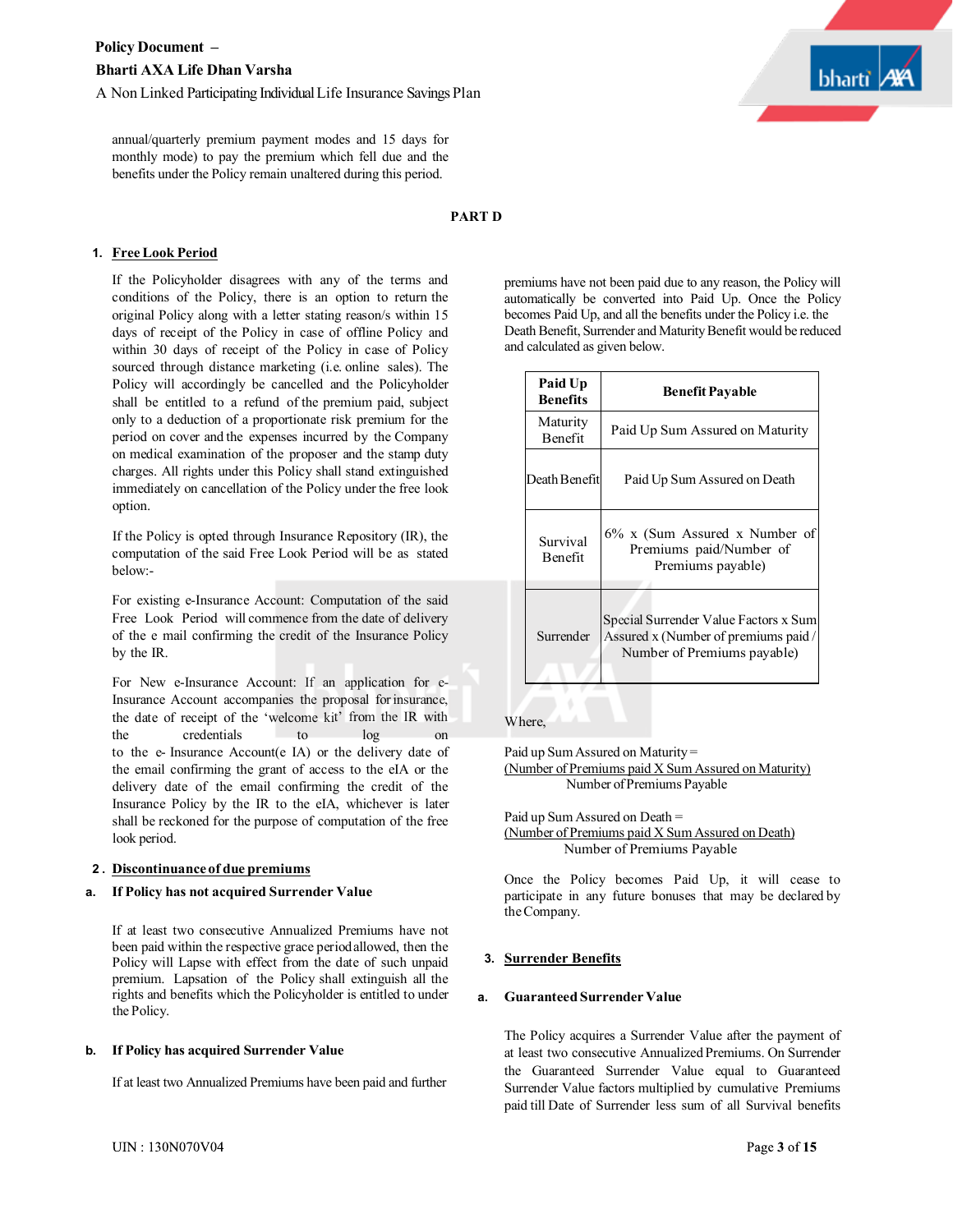annual/quarterly premium payment modes and 15 days for monthly mode) to pay the premium which fell due and the benefits under the Policy remain unaltered during this period.

# **1. FreeLook Period**

If the Policyholder disagrees with any of the terms and conditions of the Policy, there is an option to return the original Policy along with a letter stating reason/s within 15 days of receipt of the Policy in case of offline Policy and within 30 days of receipt of the Policy in case of Policy sourced through distance marketing (i.e. online sales). The Policy will accordingly be cancelled and the Policyholder shall be entitled to a refund of the premium paid, subject only to a deduction of a proportionate risk premium for the period on cover and the expenses incurred by the Company on medical examination of the proposer and the stamp duty charges. All rights under this Policy shall stand extinguished immediately on cancellation of the Policy under the free look option.

If the Policy is opted through Insurance Repository (IR), the computation of the said Free Look Period will be as stated below:-

For existing e-Insurance Account: Computation of the said Free Look Period will commence from the date of delivery of the e mail confirming the credit of the Insurance Policy by the IR.

For New e-Insurance Account: If an application for e-Insurance Account accompanies the proposal forinsurance, the date of receipt of the 'welcome kit' from the IR with the credentials to log on to the e- Insurance Account(e IA) or the delivery date of the email confirming the grant of access to the eIA or the delivery date of the email confirming the credit of the Insurance Policy by the IR to the eIA, whichever is later shall be reckoned for the purpose of computation of the free look period.

#### **2 . Discontinuanceof due premiums**

#### **a. If Policy has not acquired Surrender Value**

If at least two consecutive Annualized Premiums have not been paid within the respective grace periodallowed, then the Policy will Lapse with effect from the date of such unpaid premium. Lapsation of the Policy shall extinguish all the rights and benefits which the Policyholder is entitled to under the Policy.

#### **b. If Policy has acquired Surrender Value**

If at least two Annualized Premiums have been paid and further



#### **PART D**

premiums have not been paid due to any reason, the Policy will automatically be converted into Paid Up. Once the Policy becomes Paid Up, and all the benefits under the Policy i.e. the Death Benefit, Surrender and Maturity Benefit would be reduced and calculated as given below.

| Paid Up<br><b>Benefits</b> | <b>Benefit Payable</b>                                                                                       |
|----------------------------|--------------------------------------------------------------------------------------------------------------|
| Maturity<br><b>Benefit</b> | Paid Up Sum Assured on Maturity                                                                              |
| Death Benefit              | Paid Up Sum Assured on Death                                                                                 |
| Survival<br><b>Benefit</b> | 6% x (Sum Assured x Number of<br>Premiums paid/Number of<br>Premiums payable)                                |
| Surrender                  | Special Surrender Value Factors x Sum<br>Assured x (Number of premiums paid /<br>Number of Premiums payable) |

#### Where,

Paid up SumAssured on Maturity = (Number of Premiums paid X Sum Assured on Maturity) Number ofPremiums Payable

Paid up Sum Assured on Death = (Number of Premiums paid X Sum Assured on Death) Number of Premiums Payable

Once the Policy becomes Paid Up, it will cease to participate in any future bonuses that may be declared by theCompany.

#### **3. Surrender Benefits**

#### **a. Guaranteed Surrender Value**

The Policy acquires a Surrender Value after the payment of at least two consecutive Annualized Premiums. On Surrender the Guaranteed Surrender Value equal to Guaranteed Surrender Value factors multiplied by cumulative Premiums paid till Date of Surrender less sum of all Survival benefits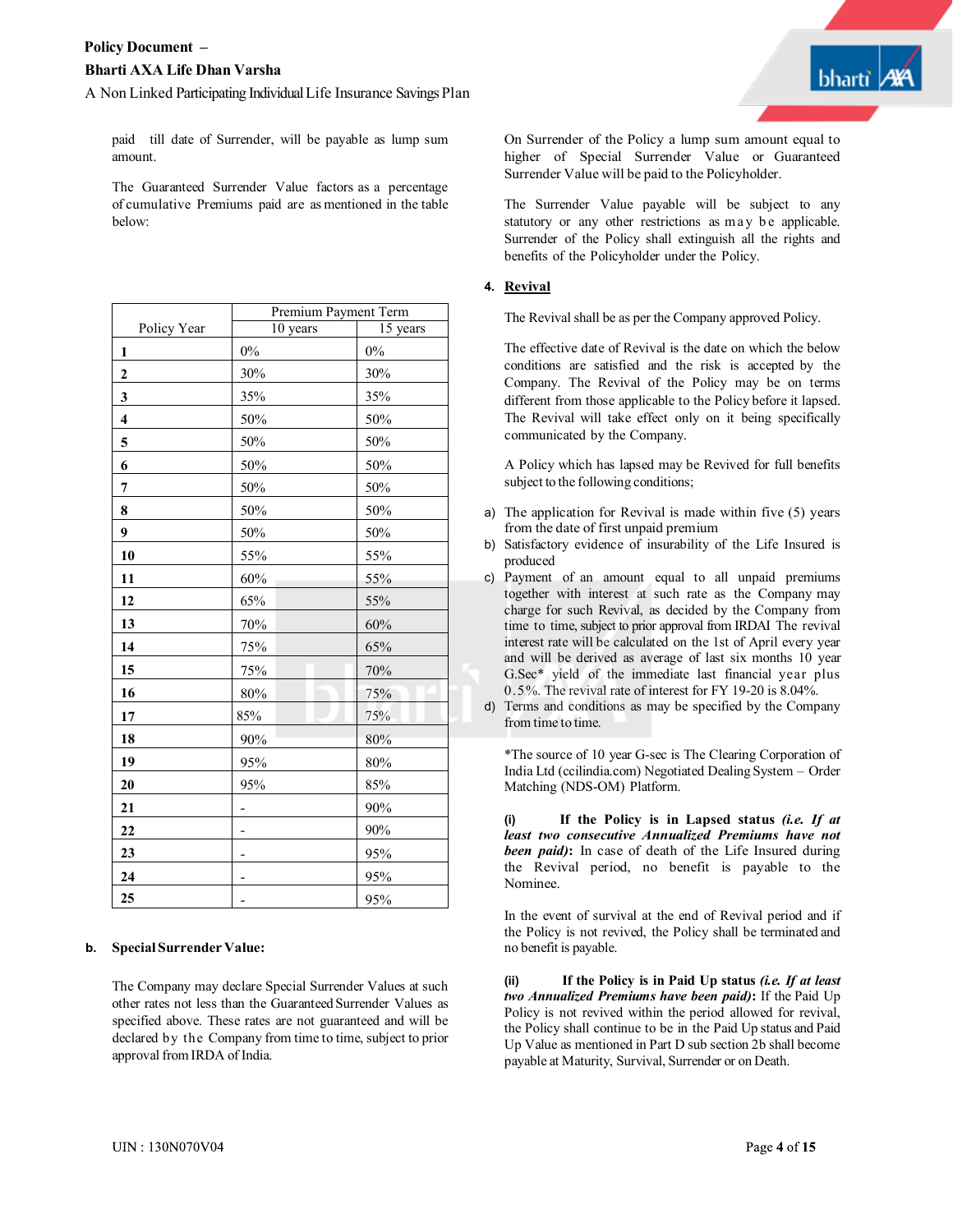

paid till date of Surrender, will be payable as lump sum amount.

The Guaranteed Surrender Value factors as a percentage of cumulative Premiums paid are as mentioned in the table below:

|                         | Premium Payment Term |          |
|-------------------------|----------------------|----------|
| Policy Year             | 10 years             | 15 years |
| $\mathbf{1}$            | $0\%$                | $0\%$    |
| $\overline{c}$          | 30%                  | 30%      |
| 3                       | 35%                  | 35%      |
| $\overline{\mathbf{4}}$ | 50%                  | 50%      |
| 5                       | 50%                  | 50%      |
| 6                       | 50%                  | 50%      |
| 7                       | 50%                  | 50%      |
| 8                       | 50%                  | 50%      |
| 9                       | 50%                  | 50%      |
| 10                      | 55%                  | 55%      |
| 11                      | 60%                  | 55%      |
| 12                      | 65%                  | 55%      |
| 13                      | 70%                  | 60%      |
| 14                      | 75%                  | 65%      |
| 15                      | 75%                  | 70%      |
| 16                      | 80%                  | 75%      |
| 17                      | 85%                  | 75%      |
| 18                      | 90%                  | 80%      |
| 19                      | 95%                  | 80%      |
| 20                      | 95%                  | 85%      |
| 21                      | -                    | 90%      |
| 22                      |                      | 90%      |
| 23                      |                      | 95%      |
| 24                      |                      | 95%      |
| 25                      |                      | 95%      |

#### **b. SpecialSurrender Value:**

The Company may declare Special Surrender Values at such other rates not less than the Guaranteed Surrender Values as specified above. These rates are not guaranteed and will be declared by the Company from time to time, subject to prior approval fromIRDA of India.

On Surrender of the Policy a lump sum amount equal to higher of Special Surrender Value or Guaranteed Surrender Value will be paid to the Policyholder.

The Surrender Value payable will be subject to any statutory or any other restrictions as may be applicable. Surrender of the Policy shall extinguish all the rights and benefits of the Policyholder under the Policy.

#### **4. Revival**

The Revival shall be as per the Company approved Policy.

The effective date of Revival is the date on which the below conditions are satisfied and the risk is accepted by the Company. The Revival of the Policy may be on terms different from those applicable to the Policy before it lapsed. The Revival will take effect only on it being specifically communicated by the Company.

A Policy which has lapsed may be Revived for full benefits subject to the following conditions;

- a) The application for Revival is made within five (5) years from the date of first unpaid premium
- b) Satisfactory evidence of insurability of the Life Insured is produced
- c) Payment of an amount equal to all unpaid premiums together with interest at such rate as the Company may charge for such Revival, as decided by the Company from time to time, subject to prior approval from IRDAI The revival interest rate will be calculated on the 1st of April every year and will be derived as average of last six months 10 year G.Sec\* yield of the immediate last financial year plus 0.5%. The revival rate of interest for FY 19-20 is 8.04%.
- d) Terms and conditions as may be specified by the Company from time to time.

\*The source of 10 year G-sec is The Clearing Corporation of India Ltd (ccilindia.com) Negotiated Dealing System – Order Matching (NDS-OM) Platform.

**(i) If the Policy is in Lapsed status** *(i.e. If at least two consecutive Annualized Premiums have not been paid)***:** In case of death of the Life Insured during the Revival period, no benefit is payable to the Nominee.

In the event of survival at the end of Revival period and if the Policy is not revived, the Policy shall be terminated and no benefit is payable.

**(ii) If the Policy is in Paid Up status** *(i.e. If at least two Annualized Premiums have been paid)***:** If the Paid Up Policy is not revived within the period allowed for revival, the Policy shall continue to be in the Paid Up status and Paid Up Value as mentioned in Part D sub section 2b shall become payable at Maturity, Survival, Surrender or on Death.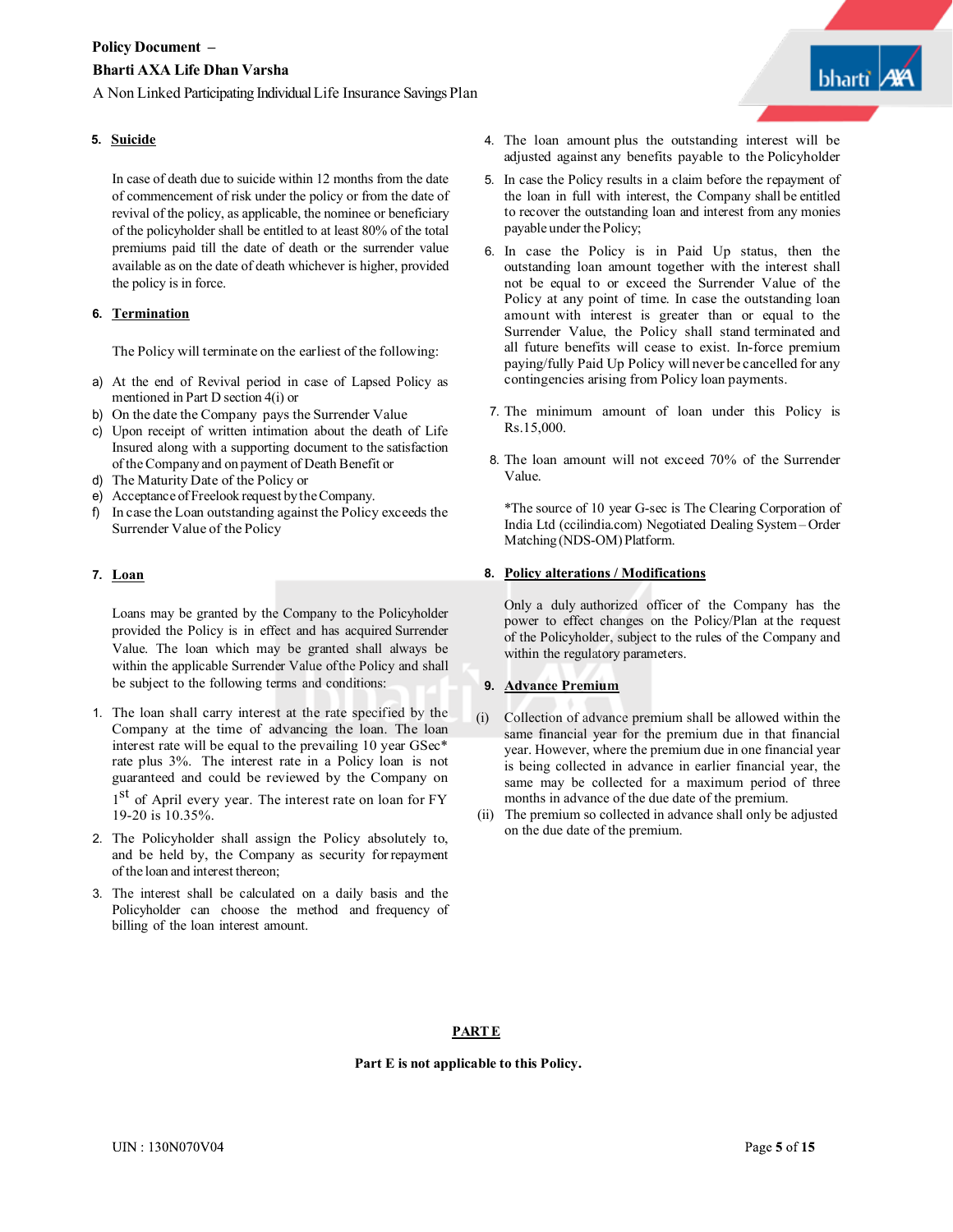In case of death due to suicide within 12 months from the date of commencement of risk under the policy or from the date of revival of the policy, as applicable, the nominee or beneficiary of the policyholder shall be entitled to at least 80% of the total premiums paid till the date of death or the surrender value available as on the date of death whichever is higher, provided the policy is in force.

### **6. Termination**

The Policy will terminate on the earliest of the following:

- a) At the end of Revival period in case of Lapsed Policy as mentioned in Part D section 4(i) or
- b) On the date the Company pays the Surrender Value
- c) Upon receipt of written intimation about the death of Life Insured along with a supporting document to the satisfaction of theCompany and on payment of Death Benefit or
- d) The Maturity Date of the Policy or
- e) Acceptance of Freelook request bytheCompany.
- f) In case the Loan outstanding against the Policy exceeds the Surrender Value of the Policy

#### **7. Loan**

Loans may be granted by the Company to the Policyholder provided the Policy is in effect and has acquired Surrender Value. The loan which may be granted shall always be within the applicable Surrender Value ofthe Policy and shall be subject to the following terms and conditions:

- 1. The loan shall carry interest at the rate specified by the Company at the time of advancing the loan. The loan interest rate will be equal to the prevailing 10 year GSec\* rate plus 3%. The interest rate in a Policy loan is not guaranteed and could be reviewed by the Company on 1<sup>st</sup> of April every year. The interest rate on loan for FY 19-20 is 10.35%.
- 2. The Policyholder shall assign the Policy absolutely to, and be held by, the Company as security forrepayment of the loan and interest thereon;
- 3. The interest shall be calculated on a daily basis and the Policyholder can choose the method and frequency of billing of the loan interest amount.
- **5. Suicide** 4. The loan amount plus the outstanding interest will be adjusted against any benefits payable to the Policyholder
	- the loan in full with interest, the Company shall be entitled to recover the outstanding loan and interest from any monies payable under the Policy; 5. In case the Policy results in a claim before the repayment of
	- 6. In case the Policy is in Paid Up status, then the outstanding loan amount together with the interest shall not be equal to or exceed the Surrender Value of the Policy at any point of time. In case the outstanding loan amount with interest is greater than or equal to the Surrender Value, the Policy shall stand terminated and all future benefits will cease to exist. In-force premium paying/fully Paid Up Policy will never be cancelled for any contingencies arising from Policy loan payments.
	- 7. The minimum amount of loan under this Policy is Rs.15,000.
	- 8. The loan amount will not exceed 70% of the Surrender Value.

\*The source of 10 year G-sec is The Clearing Corporation of India Ltd (ccilindia.com) Negotiated Dealing System– Order Matching (NDS-OM) Platform.

#### **8. Policy alterations / Modifications**

Only a duly authorized officer of the Company has the power to effect changes on the Policy/Plan at the request of the Policyholder, subject to the rules of the Company and within the regulatory parameters.

# **9. Advance Premium**

- (i) Collection of advance premium shall be allowed within the same financial year for the premium due in that financial year. However, where the premium due in one financial year is being collected in advance in earlier financial year, the same may be collected for a maximum period of three months in advance of the due date of the premium.
- (ii) The premium so collected in advance shall only be adjusted on the due date of the premium.

#### **PARTE**

**Part E is not applicable to this Policy.**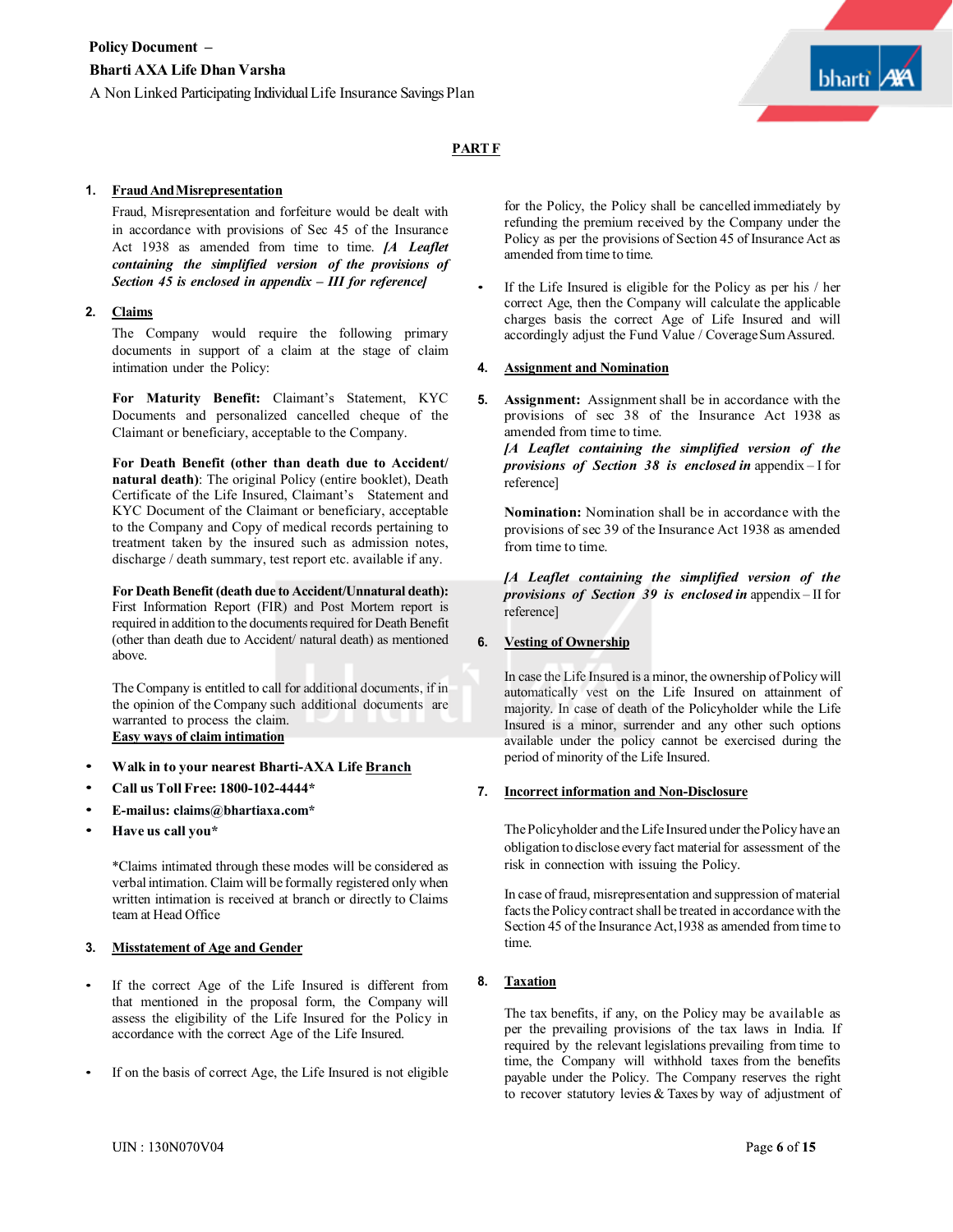

### **PARTF**

#### **1. FraudAndMisrepresentation**

Fraud, Misrepresentation and forfeiture would be dealt with in accordance with provisions of Sec 45 of the Insurance Act 1938 as amended from time to time. *[A Leaflet containing the simplified version of the provisions of Section 45 is enclosed in appendix – III for reference]*

#### **2. Claims**

The Company would require the following primary documents in support of a claim at the stage of claim intimation under the Policy:

**For Maturity Benefit:** Claimant's Statement, KYC Documents and personalized cancelled cheque of the Claimant or beneficiary, acceptable to the Company.

**For Death Benefit (other than death due to Accident/ natural death)**: The original Policy (entire booklet), Death Certificate of the Life Insured, Claimant's Statement and KYC Document of the Claimant or beneficiary, acceptable to the Company and Copy of medical records pertaining to treatment taken by the insured such as admission notes, discharge / death summary, test report etc. available if any.

**For Death Benefit (death due to Accident/Unnatural death):** First Information Report (FIR) and Post Mortem report is required in addition to the documents required for Death Benefit (other than death due to Accident/ natural death) as mentioned above.

The Company is entitled to call for additional documents, if in the opinion of the Company such additional documents are warranted to process the claim. **Easy ways of claim intimation**

- **Walk in to your nearest Bharti-AXA Life Branch**
- **Call us Toll Free: 1800-102-4444\***
- **E-mailus: claims@bhartiaxa.com\***
- **Have us call you\***

\*Claims intimated through these modes will be considered as verbal intimation. Claim will be formally registered only when written intimation is received at branch or directly to Claims team at Head Office

#### **3. Misstatement of Age and Gender**

- If the correct Age of the Life Insured is different from that mentioned in the proposal form, the Company will assess the eligibility of the Life Insured for the Policy in accordance with the correct Age of the Life Insured.
- If on the basis of correct Age, the Life Insured is not eligible

for the Policy, the Policy shall be cancelled immediately by refunding the premium received by the Company under the Policy as per the provisions of Section 45 of Insurance Act as amended from time to time.

If the Life Insured is eligible for the Policy as per his / her correct Age, then the Company will calculate the applicable charges basis the correct Age of Life Insured and will accordingly adjust the Fund Value / Coverage Sum Assured.

#### **4. Assignment and Nomination**

**5. Assignment:** Assignment shall be in accordance with the provisions of sec 38 of the Insurance Act 1938 as amended from time to time.

*[A Leaflet containing the simplified version of the provisions of Section 38 is enclosed in* appendix – I for reference]

**Nomination:** Nomination shall be in accordance with the provisions of sec 39 of the Insurance Act 1938 as amended from time to time.

*[A Leaflet containing the simplified version of the provisions of Section 39 is enclosed in* appendix – II for reference]

#### **6. Vesting of Ownership**

In case the Life Insured is a minor, the ownership of Policy will automatically vest on the Life Insured on attainment of majority. In case of death of the Policyholder while the Life Insured is a minor, surrender and any other such options available under the policy cannot be exercised during the period of minority of the Life Insured.

#### **7. Incorrect information and Non-Disclosure**

ThePolicyholder and the Life Insured under thePolicy have an obligation to disclose every fact material for assessment of the risk in connection with issuing the Policy.

In case of fraud, misrepresentation and suppression of material facts the Policy contract shall be treated in accordance with the Section 45 of the Insurance Act,1938 as amended from time to time.

## **8. Taxation**

The tax benefits, if any, on the Policy may be available as per the prevailing provisions of the tax laws in India. If required by the relevant legislations prevailing from time to time, the Company will withhold taxes from the benefits payable under the Policy. The Company reserves the right to recover statutory levies & Taxes by way of adjustment of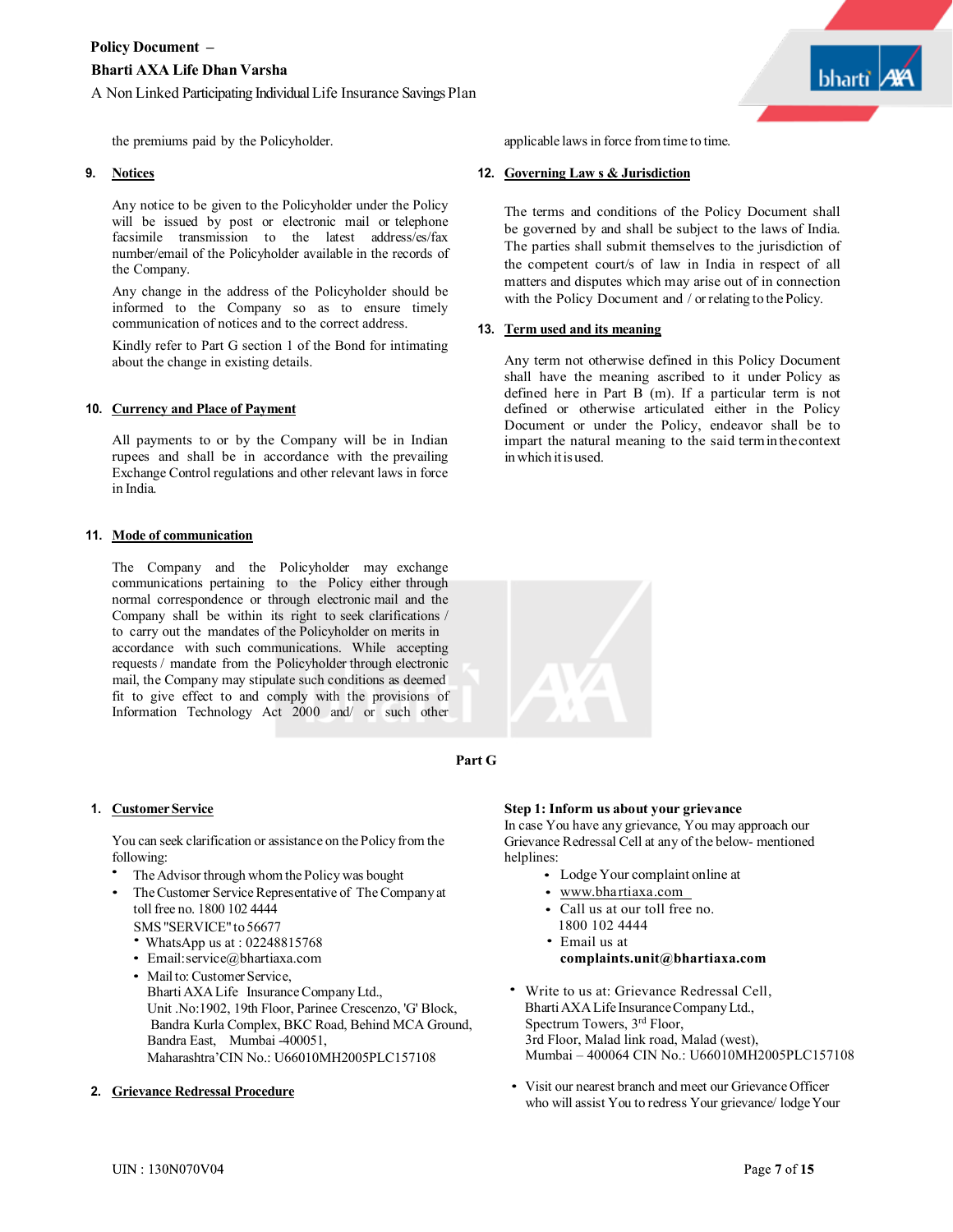

the premiums paid by the Policyholder.

#### **9. Notices**

Any notice to be given to the Policyholder under the Policy will be issued by post or electronic mail or telephone facsimile transmission to the latest address/es/fax number/email of the Policyholder available in the records of the Company.

Any change in the address of the Policyholder should be informed to the Company so as to ensure timely communication of notices and to the correct address.

Kindly refer to Part G section 1 of the Bond for intimating about the change in existing details.

#### **10. Currency and Place of Payment**

All payments to or by the Company will be in Indian rupees and shall be in accordance with the prevailing Exchange Control regulations and other relevant laws in force in India.

#### **11. Mode of communication**

The Company and the Policyholder may exchange communications pertaining to the Policy either through normal correspondence or through electronic mail and the Company shall be within its right to seek clarifications / to carry out the mandates of the Policyholder on merits in accordance with such communications. While accepting requests / mandate from the Policyholder through electronic mail, the Company may stipulate such conditions as deemed fit to give effect to and comply with the provisions of Information Technology Act 2000 and/ or such other

#### **1. CustomerService**

You can seek clarification or assistance on the Policy from the following:

- The Advisor through whom the Policy was bought •
- The Customer Service Representative of The Company at toll free no. 1800 102 4444 •
	- SMS "SERVICE" to 56677
	- WhatsApp us at : 02248815768
	- Email:service@bhartiaxa.com • Mailto:Customer Service, BhartiAXALife InsuranceCompanyLtd., Unit .No:1902, 19th Floor, Parinee Crescenzo, 'G' Block, Bandra Kurla Complex, BKC Road, Behind MCA Ground, Bandra East, Mumbai -400051, Maharashtra'CIN No.: U66010MH2005PLC157108
- **2. Grievance Redressal Procedure**

applicable laws in force fromtime to time.

#### **12. Governing Law s & Jurisdiction**

The terms and conditions of the Policy Document shall be governed by and shall be subject to the laws of India. The parties shall submit themselves to the jurisdiction of the competent court/s of law in India in respect of all matters and disputes which may arise out of in connection with the Policy Document and / or relating to the Policy.

#### **13. Term used and its meaning**

Any term not otherwise defined in this Policy Document shall have the meaning ascribed to it under Policy as defined here in Part B (m). If a particular term is not defined or otherwise articulated either in the Policy Document or under the Policy, endeavor shall be to impart the natural meaning to the said terminthecontext in which itis used.



# **Part G**

#### **Step 1: Inform us about your grievance**

In case You have any grievance, You may approach our Grievance Redressal Cell at any of the below- mentioned helplines:

- Lodge Your complaint online at
- www.bhartiaxa.com
- Call us at our toll free no.
- 1800 102 4444
- Email us at **complaints.unit@bhartiaxa.com**
- Write to us at: Grievance Redressal Cell, Bharti AXA Life Insurance Company Ltd., Spectrum Towers, 3rd Floor, 3rd Floor, Malad link road, Malad (west), Mumbai – 400064 CIN No.: U66010MH2005PLC157108
- Visit our nearest branch and meet our Grievance Officer who will assist You to redress Your grievance/ lodgeYour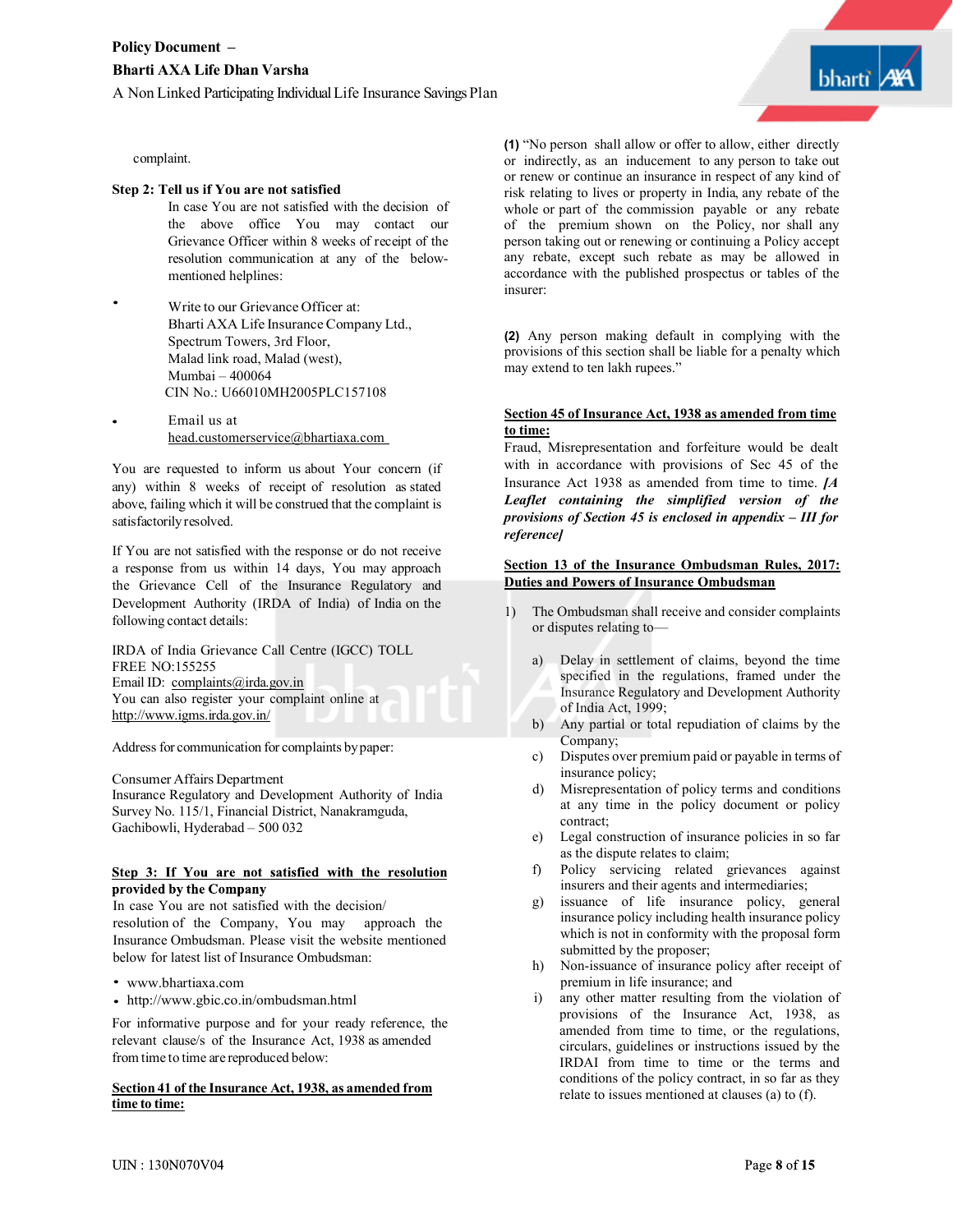

•

#### **Step 2: Tell us if You are not satisfied**

- In case You are not satisfied with the decision of the above office You may contact our Grievance Officer within 8 weeks of receipt of the resolution communication at any of the belowmentioned helplines:
- Write to our Grievance Officer at: Bharti AXA Life Insurance Company Ltd., Spectrum Towers, 3rd Floor, Malad link road, Malad (west), Mumbai – 400064 CIN No.: U66010MH2005PLC157108
- Email us at head.customerservice@bhartiaxa.com

You are requested to inform us about Your concern (if any) within 8 weeks of receipt of resolution as stated above, failing which it will be construed that the complaint is satisfactorilyresolved.

If You are not satisfied with the response or do not receive a response from us within 14 days, You may approach the Grievance Cell of the Insurance Regulatory and Development Authority (IRDA of India) of India on the following contact details:

IRDA of India Grievance Call Centre (IGCC) TOLL FREE NO:155255 Email ID: complaints@irda.gov.in You can also register your complaint online at http://www.igms.irda.gov.in/

Address for communication for complaints bypaper:

Consumer Affairs Department

Insurance Regulatory and Development Authority of India Survey No. 115/1, Financial District, Nanakramguda, Gachibowli, Hyderabad – 500 032

#### Step 3: If You are not satisfied with the resolution provided by the Company

In case You are not satisfied with the decision/ resolution of the Company, You may approach the Insurance Ombudsman. Please visit the website mentioned below for latest list of Insurance Ombudsman:

- www.bhartiaxa.com
- http://www.gbic.co.in/ombudsman.html

For informative purpose and for your ready reference, the relevant clause/s of the Insurance Act, 1938 as amended from time to time are reproduced below:

#### **Section 41 of the Insurance Act, 1938, as amended from <u>section 41 of the Insurance Act, 1938, as amended from</u>** relate to issues mentioned at clauses (a) to (f).<br> **time** to time:

**(1)** "No person shall allow or offer to allow, either directly or indirectly, as an inducement to any person to take out or renew or continue an insurance in respect of any kind of risk relating to lives or property in India, any rebate of the whole or part of the commission payable or any rebate of the premium shown on the Policy, nor shall any person taking out or renewing or continuing a Policy accept any rebate, except such rebate as may be allowed in accordance with the published prospectus or tables of the insurer:

**(2)** Any person making default in complying with the provisions of this section shall be liable for a penalty which may extend to ten lakh rupees."

#### **Section 45 of Insurance Act, 1938 as amended from time to time:**

Fraud, Misrepresentation and forfeiture would be dealt with in accordance with provisions of Sec 45 of the Insurance Act 1938 as amended from time to time. *[A Leaflet containing the simplified version of the provisions of Section 45 is enclosed in appendix – III for reference]*

#### **Section 13 of the Insurance Ombudsman Rules, 2017: Duties and Powers of Insurance Ombudsman**

- 1) The Ombudsman shall receive and consider complaints or disputes relating to
	- a) Delay in settlement of claims, beyond the time specified in the regulations, framed under the Insurance Regulatory and Development Authority of India Act, 1999;
	- b) Any partial or total repudiation of claims by the Company;
	- c) Disputes over premium paid or payable in terms of insurance policy;
	- d) Misrepresentation of policy terms and conditions at any time in the policy document or policy contract;
	- e) Legal construction of insurance policies in so far as the dispute relates to claim;
	- f) Policy servicing related grievances against insurers and their agents and intermediaries;
	- g) issuance of life insurance policy, general insurance policy including health insurance policy which is not in conformity with the proposal form submitted by the proposer;
	- h) Non-issuance of insurance policy after receipt of premium in life insurance; and
	- i) any other matter resulting from the violation of provisions of the Insurance Act, 1938, as amended from time to time, or the regulations, circulars, guidelines or instructions issued by the IRDAI from time to time or the terms and conditions of the policy contract, in so far as they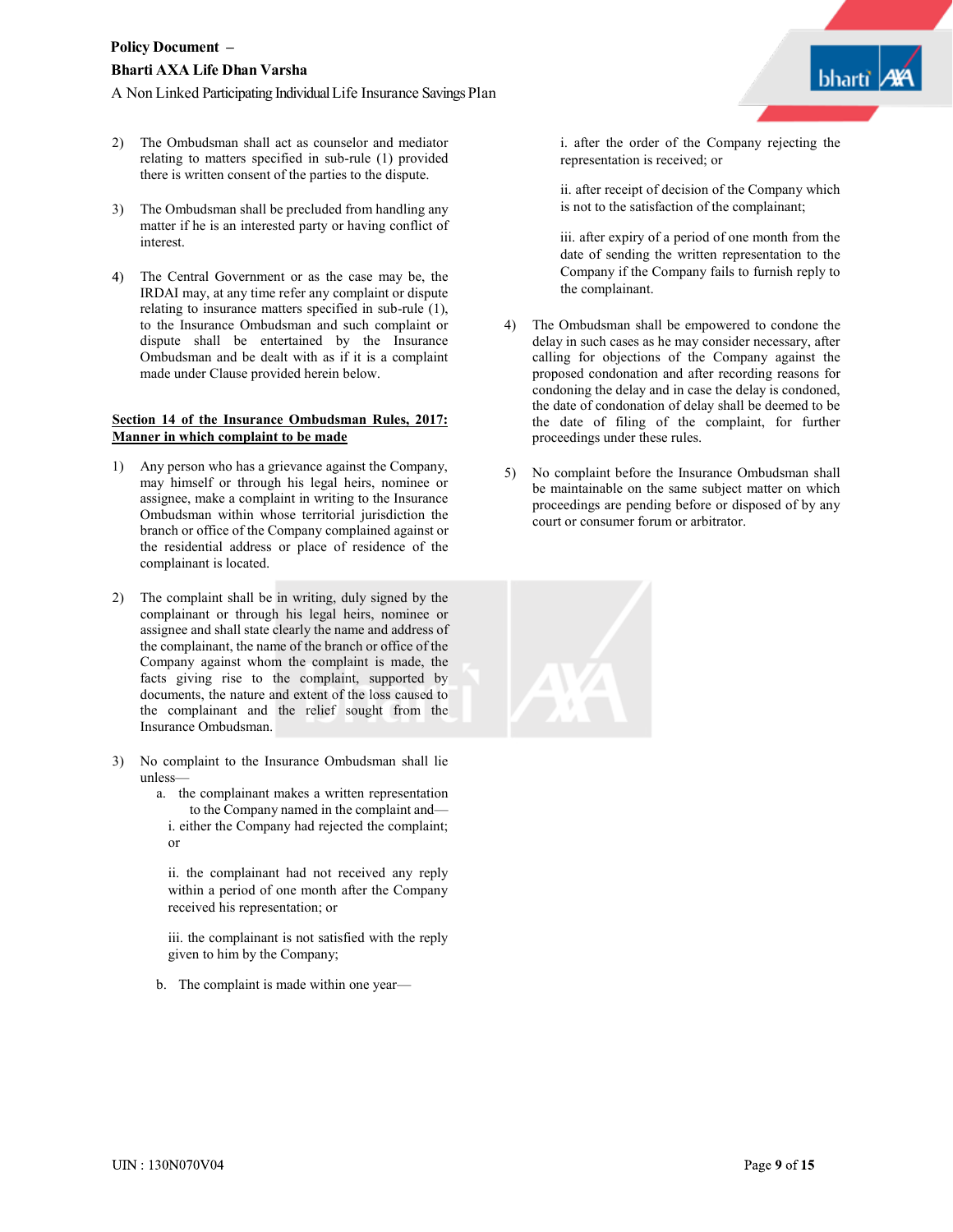- 2) The Ombudsman shall act as counselor and mediator relating to matters specified in sub-rule (1) provided there is written consent of the parties to the dispute.
- 3) The Ombudsman shall be precluded from handling any matter if he is an interested party or having conflict of interest.
- The Central Government or as the case may be, the IRDAI may, at any time refer any complaint or dispute relating to insurance matters specified in sub-rule (1), to the Insurance Ombudsman and such complaint or dispute shall be entertained by the Insurance Ombudsman and be dealt with as if it is a complaint made under Clause provided herein below.

#### **Section 14 of the Insurance Ombudsman Rules, 2017: Manner in which complaint to be made**

- 1) Any person who has a grievance against the Company, may himself or through his legal heirs, nominee or assignee, make a complaint in writing to the Insurance Ombudsman within whose territorial jurisdiction the branch or office of the Company complained against or the residential address or place of residence of the complainant is located.
- 2) The complaint shall be in writing, duly signed by the complainant or through his legal heirs, nominee or assignee and shall state clearly the name and address of the complainant, the name of the branch or office of the Company against whom the complaint is made, the facts giving rise to the complaint, supported by documents, the nature and extent of the loss caused to the complainant and the relief sought from the Insurance Ombudsman.
- 3) No complaint to the Insurance Ombudsman shall lie unless
	- a. the complainant makes a written representation to the Company named in the complaint and i. either the Company had rejected the complaint; or

ii. the complainant had not received any reply within a period of one month after the Company received his representation; or

iii. the complainant is not satisfied with the reply given to him by the Company;

b. The complaint is made within one year—

i. after the order of the Company rejecting the representation is received; or

ii. after receipt of decision of the Company which is not to the satisfaction of the complainant;

iii. after expiry of a period of one month from the date of sending the written representation to the Company if the Company fails to furnish reply to the complainant.

- 4) The Ombudsman shall be empowered to condone the delay in such cases as he may consider necessary, after calling for objections of the Company against the proposed condonation and after recording reasons for condoning the delay and in case the delay is condoned, the date of condonation of delay shall be deemed to be the date of filing of the complaint, for further proceedings under these rules.
- 5) No complaint before the Insurance Ombudsman shall be maintainable on the same subject matter on which proceedings are pending before or disposed of by any court or consumer forum or arbitrator.

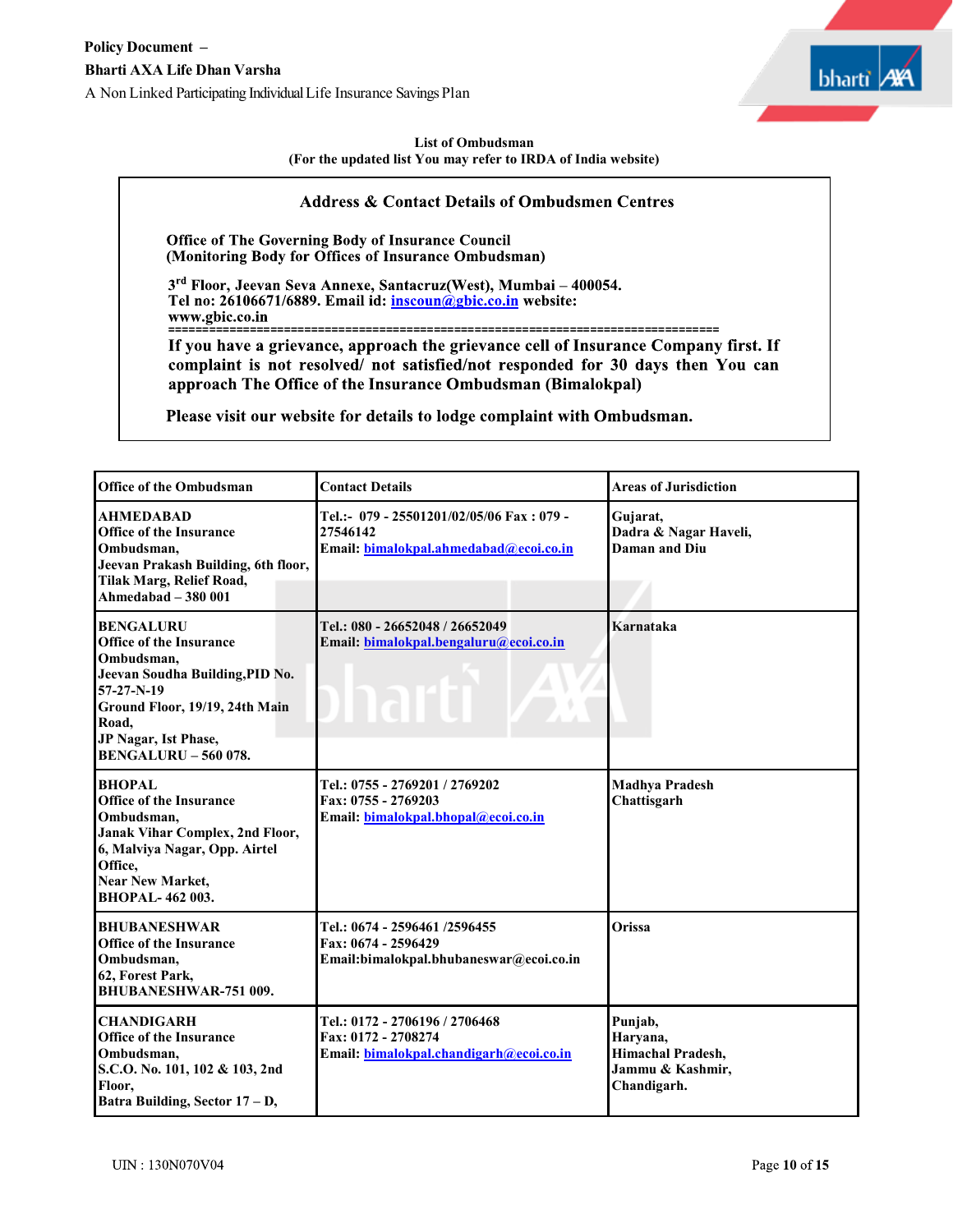

## **List of Ombudsman (For the updated list You may refer to IRDA of India website)**

# **Address & Contact Details of Ombudsmen Centres**

Office of The Governing Body of Insurance Council (Monitoring Body for Offices of Insurance Ombudsman)

3rd Floor, Jeevan Seva Annexe, Santacruz(West), Mumbai - 400054. Tel no: 26106671/6889. Email id: inscoun@gbic.co.in website:

**=================================================================================**

complaint is not resolved/ not satisfied/not responded for 30 days then You can approach The Office of the Insurance Ombudsman (Bimalokpal)

Please visit our website for details to lodge complaint with Ombudsman.

| <b>Office of the Ombudsman</b>                                                                                                                                                                                      | <b>Contact Details</b>                                                                           | <b>Areas of Jurisdiction</b>                                                       |
|---------------------------------------------------------------------------------------------------------------------------------------------------------------------------------------------------------------------|--------------------------------------------------------------------------------------------------|------------------------------------------------------------------------------------|
| <b>AHMEDABAD</b><br><b>Office of the Insurance</b><br>Ombudsman,<br>Jeevan Prakash Building, 6th floor,<br>Tilak Marg, Relief Road,<br>Ahmedabad $-380001$                                                          | Tel.:- 079 - 25501201/02/05/06 Fax: 079 -<br>27546142<br>Email: bimalokpal.ahmedabad@ecoi.co.in  | Gujarat,<br>Dadra & Nagar Haveli,<br>Daman and Diu                                 |
| <b>BENGALURU</b><br><b>Office of the Insurance</b><br>Ombudsman,<br>Jeevan Soudha Building, PID No.<br>57-27-N-19<br>Ground Floor, 19/19, 24th Main<br>Road,<br>JP Nagar, Ist Phase,<br><b>BENGALURU - 560 078.</b> | Tel.: 080 - 26652048 / 26652049<br>Email: bimalokpal.bengaluru@ecoi.co.in<br>narti               | Karnataka                                                                          |
| <b>BHOPAL</b><br><b>Office of the Insurance</b><br>Ombudsman.<br>Janak Vihar Complex, 2nd Floor,<br>6, Malviya Nagar, Opp. Airtel<br>Office,<br><b>Near New Market,</b><br><b>BHOPAL-462 003.</b>                   | Tel.: 0755 - 2769201 / 2769202<br>Fax: 0755 - 2769203<br>Email: bimalokpal.bhopal@ecoi.co.in     | <b>Madhya Pradesh</b><br>Chattisgarh                                               |
| <b>BHUBANESHWAR</b><br><b>Office of the Insurance</b><br>Ombudsman,<br>62, Forest Park,<br><b>BHUBANESHWAR-751 009.</b>                                                                                             | Tel.: 0674 - 2596461 /2596455<br>Fax: 0674 - 2596429<br>Email:bimalokpal.bhubaneswar@ecoi.co.in  | <b>Orissa</b>                                                                      |
| <b>CHANDIGARH</b><br><b>Office of the Insurance</b><br>Ombudsman,<br>S.C.O. No. 101, 102 & 103, 2nd<br>Floor,<br>Batra Building, Sector 17 - D,                                                                     | Tel.: 0172 - 2706196 / 2706468<br>Fax: 0172 - 2708274<br>Email: bimalokpal.chandigarh@ecoi.co.in | Punjab,<br>Haryana,<br><b>Himachal Pradesh,</b><br>Jammu & Kashmir,<br>Chandigarh. |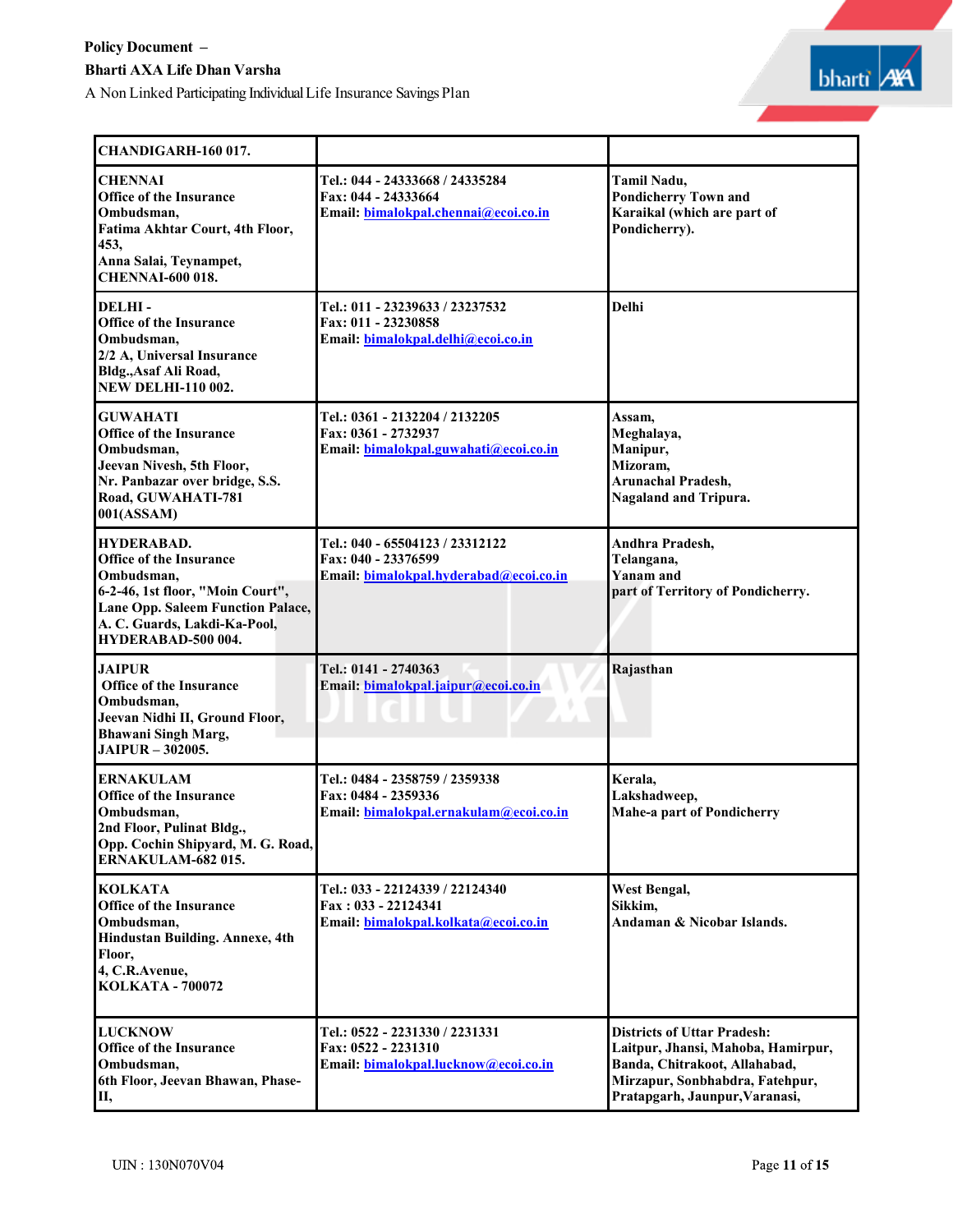A Non Linked Participating IndividualLife Insurance Savings Plan



| CHANDIGARH-160 017.                                                                                                                                                                              |                                                                                                  |                                                                                                                                                                                |
|--------------------------------------------------------------------------------------------------------------------------------------------------------------------------------------------------|--------------------------------------------------------------------------------------------------|--------------------------------------------------------------------------------------------------------------------------------------------------------------------------------|
| <b>CHENNAI</b><br><b>Office of the Insurance</b><br>Ombudsman,<br>Fatima Akhtar Court, 4th Floor,<br>453,<br>Anna Salai, Teynampet,<br><b>CHENNAI-600 018.</b>                                   | Tel.: 044 - 24333668 / 24335284<br>Fax: 044 - 24333664<br>Email: bimalokpal.chennai@ecoi.co.in   | Tamil Nadu,<br><b>Pondicherry Town and</b><br>Karaikal (which are part of<br>Pondicherry).                                                                                     |
| DELHI-<br><b>Office of the Insurance</b><br>Ombudsman,<br>2/2 A, Universal Insurance<br>Bldg., Asaf Ali Road,<br><b>NEW DELHI-110 002.</b>                                                       | Tel.: 011 - 23239633 / 23237532<br>Fax: 011 - 23230858<br>Email: bimalokpal.delhi@ecoi.co.in     | <b>Delhi</b>                                                                                                                                                                   |
| <b>GUWAHATI</b><br><b>Office of the Insurance</b><br>Ombudsman,<br>Jeevan Nivesh, 5th Floor,<br>Nr. Panbazar over bridge, S.S.<br>Road, GUWAHATI-781<br>001(ASSAM)                               | Tel.: 0361 - 2132204 / 2132205<br>Fax: 0361 - 2732937<br>Email: bimalokpal.guwahati@ecoi.co.in   | Assam.<br>Meghalaya,<br>Manipur,<br>Mizoram.<br><b>Arunachal Pradesh,</b><br><b>Nagaland and Tripura.</b>                                                                      |
| HYDERABAD.<br><b>Office of the Insurance</b><br>Ombudsman,<br>6-2-46, 1st floor, "Moin Court",<br><b>Lane Opp. Saleem Function Palace,</b><br>A. C. Guards, Lakdi-Ka-Pool,<br>HYDERABAD-500 004. | Tel.: 040 - 65504123 / 23312122<br>Fax: 040 - 23376599<br>Email: bimalokpal.hyderabad@ecoi.co.in | Andhra Pradesh,<br>Telangana,<br>Yanam and<br>part of Territory of Pondicherry.                                                                                                |
| <b>JAIPUR</b><br><b>Office of the Insurance</b><br>Ombudsman,<br>Jeevan Nidhi II, Ground Floor,<br><b>Bhawani Singh Marg,</b><br><b>JAIPUR - 302005.</b>                                         | Tel.: 0141 - 2740363<br>Email: bimalokpal.jaipur@ecoi.co.in                                      | Rajasthan                                                                                                                                                                      |
| <b>ERNAKULAM</b><br><b>Office of the Insurance</b><br>Ombudsman,<br>2nd Floor, Pulinat Bldg.,<br>Opp. Cochin Shipyard, M. G. Road,<br><b>ERNAKULAM-682015.</b>                                   | Tel.: 0484 - 2358759 / 2359338<br>Fax: 0484 - 2359336<br>Email: bimalokpal.ernakulam@ecoi.co.in  | Kerala,<br>Lakshadweep,<br><b>Mahe-a part of Pondicherry</b>                                                                                                                   |
| <b>KOLKATA</b><br><b>Office of the Insurance</b><br>Ombudsman,<br>Hindustan Building. Annexe, 4th<br>Floor,<br>4, C.R.Avenue,<br><b>KOLKATA - 700072</b>                                         | Tel.: 033 - 22124339 / 22124340<br>Fax: 033 - 22124341<br>Email: bimalokpal.kolkata@ecoi.co.in   | West Bengal,<br>Sikkim,<br>Andaman & Nicobar Islands.                                                                                                                          |
| <b>LUCKNOW</b><br><b>Office of the Insurance</b><br>Ombudsman,<br>6th Floor, Jeevan Bhawan, Phase-<br>П,                                                                                         | Tel.: 0522 - 2231330 / 2231331<br>Fax: 0522 - 2231310<br>Email: bimalokpal.lucknow@ecoi.co.in    | <b>Districts of Uttar Pradesh:</b><br>Laitpur, Jhansi, Mahoba, Hamirpur,<br>Banda, Chitrakoot, Allahabad,<br>Mirzapur, Sonbhabdra, Fatehpur,<br>Pratapgarh, Jaunpur, Varanasi, |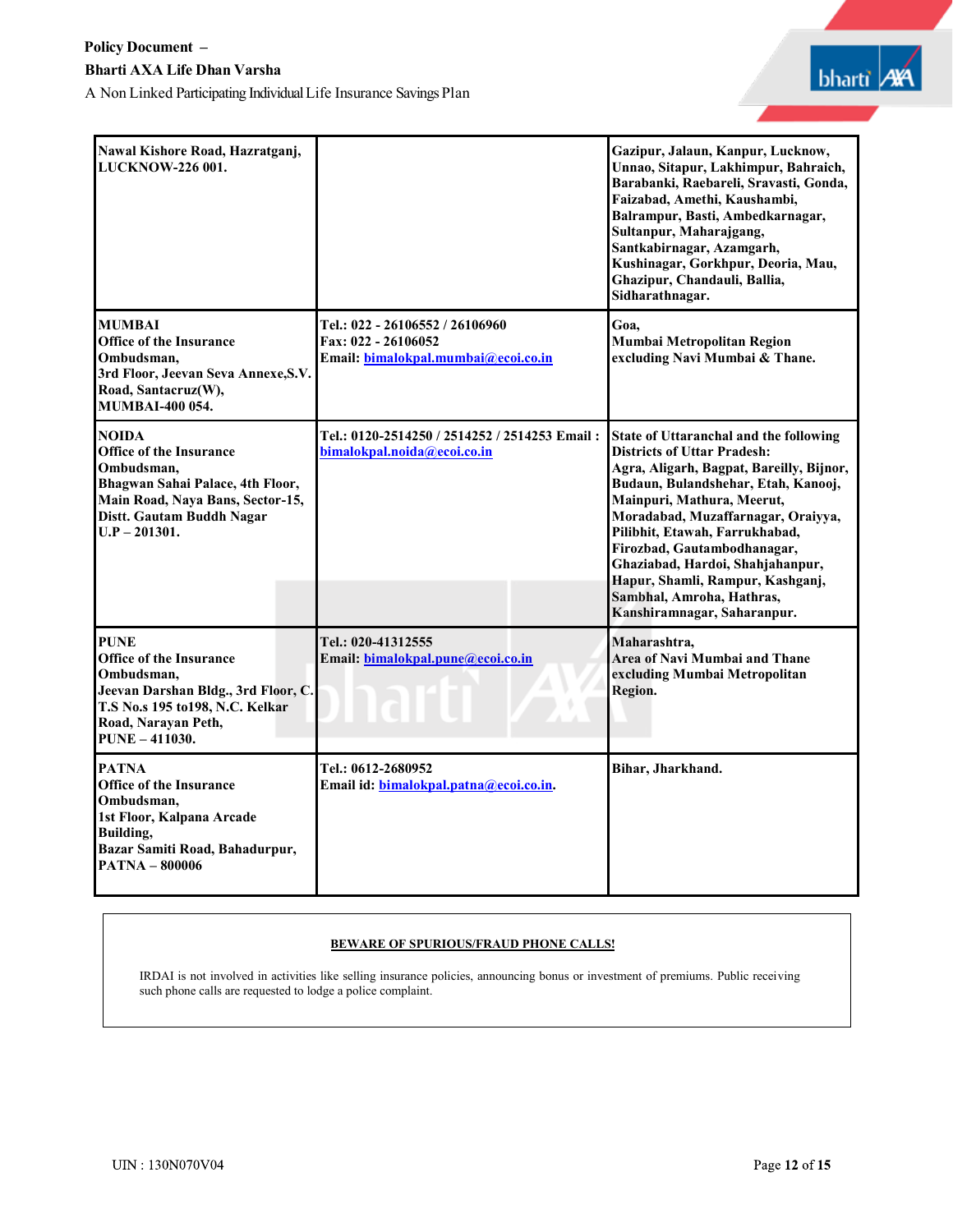

| Nawal Kishore Road, Hazratganj,<br>LUCKNOW-226 001.                                                                                                                                  |                                                                                               | Gazipur, Jalaun, Kanpur, Lucknow,<br>Unnao, Sitapur, Lakhimpur, Bahraich,<br>Barabanki, Raebareli, Sravasti, Gonda,<br>Faizabad, Amethi, Kaushambi,<br>Balrampur, Basti, Ambedkarnagar,<br>Sultanpur, Maharajgang,<br>Santkabirnagar, Azamgarh,<br>Kushinagar, Gorkhpur, Deoria, Mau,<br>Ghazipur, Chandauli, Ballia,<br>Sidharathnagar.                                                                                                 |
|--------------------------------------------------------------------------------------------------------------------------------------------------------------------------------------|-----------------------------------------------------------------------------------------------|------------------------------------------------------------------------------------------------------------------------------------------------------------------------------------------------------------------------------------------------------------------------------------------------------------------------------------------------------------------------------------------------------------------------------------------|
| <b>MUMBAI</b><br><b>Office of the Insurance</b><br>Ombudsman,<br>3rd Floor, Jeevan Seva Annexe, S.V.<br>Road, Santacruz(W),<br><b>MUMBAI-400 054.</b>                                | Tel.: 022 - 26106552 / 26106960<br>Fax: 022 - 26106052<br>Email: bimalokpal.mumbai@ecoi.co.in | Goa.<br>Mumbai Metropolitan Region<br>excluding Navi Mumbai & Thane.                                                                                                                                                                                                                                                                                                                                                                     |
| <b>NOIDA</b><br><b>Office of the Insurance</b><br>Ombudsman,<br>Bhagwan Sahai Palace, 4th Floor,<br>Main Road, Naya Bans, Sector-15,<br>Distt. Gautam Buddh Nagar<br>$U.P - 201301.$ | Tel.: 0120-2514250 / 2514252 / 2514253 Email:<br>bimalokpal.noida@ecoi.co.in                  | State of Uttaranchal and the following<br><b>Districts of Uttar Pradesh:</b><br>Agra, Aligarh, Bagpat, Bareilly, Bijnor,<br>Budaun, Bulandshehar, Etah, Kanooj,<br>Mainpuri, Mathura, Meerut,<br>Moradabad, Muzaffarnagar, Oraiyya,<br>Pilibhit, Etawah, Farrukhabad,<br>Firozbad, Gautambodhanagar,<br>Ghaziabad, Hardoi, Shahjahanpur,<br>Hapur, Shamli, Rampur, Kashganj,<br>Sambhal, Amroha, Hathras,<br>Kanshiramnagar, Saharanpur. |
| <b>PUNE</b><br><b>Office of the Insurance</b><br>Ombudsman,<br>Jeevan Darshan Bldg., 3rd Floor, C.<br>T.S No.s 195 to198, N.C. Kelkar<br>Road, Narayan Peth,<br><b>PUNE -411030.</b> | Tel.: 020-41312555<br>Email: bimalokpal.pune@ecoi.co.in<br>lari                               | Maharashtra,<br>Area of Navi Mumbai and Thane<br>excluding Mumbai Metropolitan<br>Region.                                                                                                                                                                                                                                                                                                                                                |
| <b>PATNA</b><br><b>Office of the Insurance</b><br>Ombudsman,<br>1st Floor, Kalpana Arcade<br><b>Building,</b><br>Bazar Samiti Road, Bahadurpur,<br><b>PATNA - 800006</b>             | Tel.: 0612-2680952<br>Email id: bimalokpal.patna@ecoi.co.in.                                  | Bihar, Jharkhand.                                                                                                                                                                                                                                                                                                                                                                                                                        |

# **BEWARE OF SPURIOUS/FRAUD PHONE CALLS!**

IRDAI is not involved in activities like selling insurance policies, announcing bonus or investment of premiums. Public receiving such phone calls are requested to lodge a police complaint.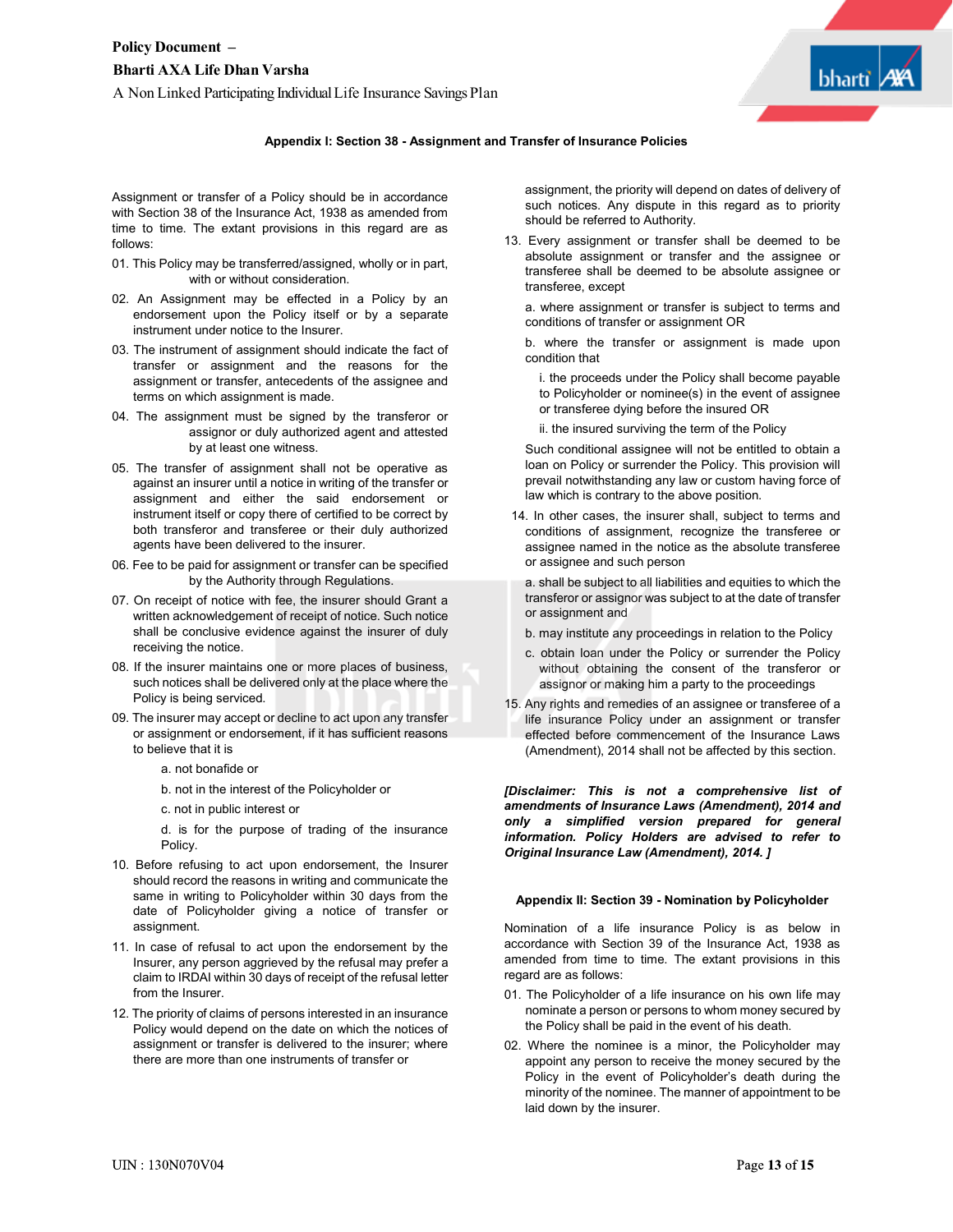

Assignment or transfer of a Policy should be in accordance with Section 38 of the Insurance Act, 1938 as amended from time to time. The extant provisions in this regard are as follows:

- 01. This Policy may be transferred/assigned, wholly or in part, with or without consideration.
- 02. An Assignment may be effected in a Policy by an endorsement upon the Policy itself or by a separate instrument under notice to the Insurer.
- 03. The instrument of assignment should indicate the fact of transfer or assignment and the reasons for the assignment or transfer, antecedents of the assignee and terms on which assignment is made.
- 04. The assignment must be signed by the transferor or assignor or duly authorized agent and attested by at least one witness.
- 05. The transfer of assignment shall not be operative as against an insurer until a notice in writing of the transfer or assignment and either the said endorsement or instrument itself or copy there of certified to be correct by both transferor and transferee or their duly authorized agents have been delivered to the insurer.
- 06. Fee to be paid for assignment or transfer can be specified by the Authority through Regulations.
- 07. On receipt of notice with fee, the insurer should Grant a written acknowledgement of receipt of notice. Such notice shall be conclusive evidence against the insurer of duly receiving the notice.
- 08. If the insurer maintains one or more places of business, such notices shall be delivered only at the place where the Policy is being serviced.
- 09. The insurer may accept or decline to act upon any transfer or assignment or endorsement, if it has sufficient reasons to believe that it is
	- a. not bonafide or
	- b. not in the interest of the Policyholder or
	- c. not in public interest or

d. is for the purpose of trading of the insurance Policy.

- 10. Before refusing to act upon endorsement, the Insurer should record the reasons in writing and communicate the same in writing to Policyholder within 30 days from the date of Policyholder giving a notice of transfer or assignment.
- 11. In case of refusal to act upon the endorsement by the Insurer, any person aggrieved by the refusal may prefer a claim to IRDAI within 30 days of receipt of the refusal letter from the Insurer.
- 12. The priority of claims of persons interested in an insurance Policy would depend on the date on which the notices of assignment or transfer is delivered to the insurer; where there are more than one instruments of transfer or

assignment, the priority will depend on dates of delivery of such notices. Any dispute in this regard as to priority should be referred to Authority.

13. Every assignment or transfer shall be deemed to be absolute assignment or transfer and the assignee or transferee shall be deemed to be absolute assignee or transferee, except

a. where assignment or transfer is subject to terms and conditions of transfer or assignment OR

b. where the transfer or assignment is made upon condition that

- i. the proceeds under the Policy shall become payable to Policyholder or nominee(s) in the event of assignee or transferee dying before the insured OR
- ii. the insured surviving the term of the Policy

Such conditional assignee will not be entitled to obtain a loan on Policy or surrender the Policy. This provision will prevail notwithstanding any law or custom having force of law which is contrary to the above position.

14. In other cases, the insurer shall, subject to terms and conditions of assignment, recognize the transferee or assignee named in the notice as the absolute transferee or assignee and such person

a. shall be subject to all liabilities and equities to which the transferor or assignor was subject to at the date of transfer or assignment and

- b. may institute any proceedings in relation to the Policy
- c. obtain loan under the Policy or surrender the Policy without obtaining the consent of the transferor or assignor or making him a party to the proceedings
- 15. Any rights and remedies of an assignee or transferee of a life insurance Policy under an assignment or transfer effected before commencement of the Insurance Laws (Amendment), 2014 shall not be affected by this section.

*[Disclaimer: This is not a comprehensive list of amendments of Insurance Laws (Amendment), 2014 and only a simplified version prepared for general information. Policy Holders are advised to refer to Original Insurance Law (Amendment), 2014. ]*

#### **Appendix II: Section 39 - Nomination by Policyholder**

Nomination of a life insurance Policy is as below in accordance with Section 39 of the Insurance Act, 1938 as amended from time to time. The extant provisions in this regard are as follows:

- 01. The Policyholder of a life insurance on his own life may nominate a person or persons to whom money secured by the Policy shall be paid in the event of his death.
- 02. Where the nominee is a minor, the Policyholder may appoint any person to receive the money secured by the Policy in the event of Policyholder's death during the minority of the nominee. The manner of appointment to be laid down by the insurer.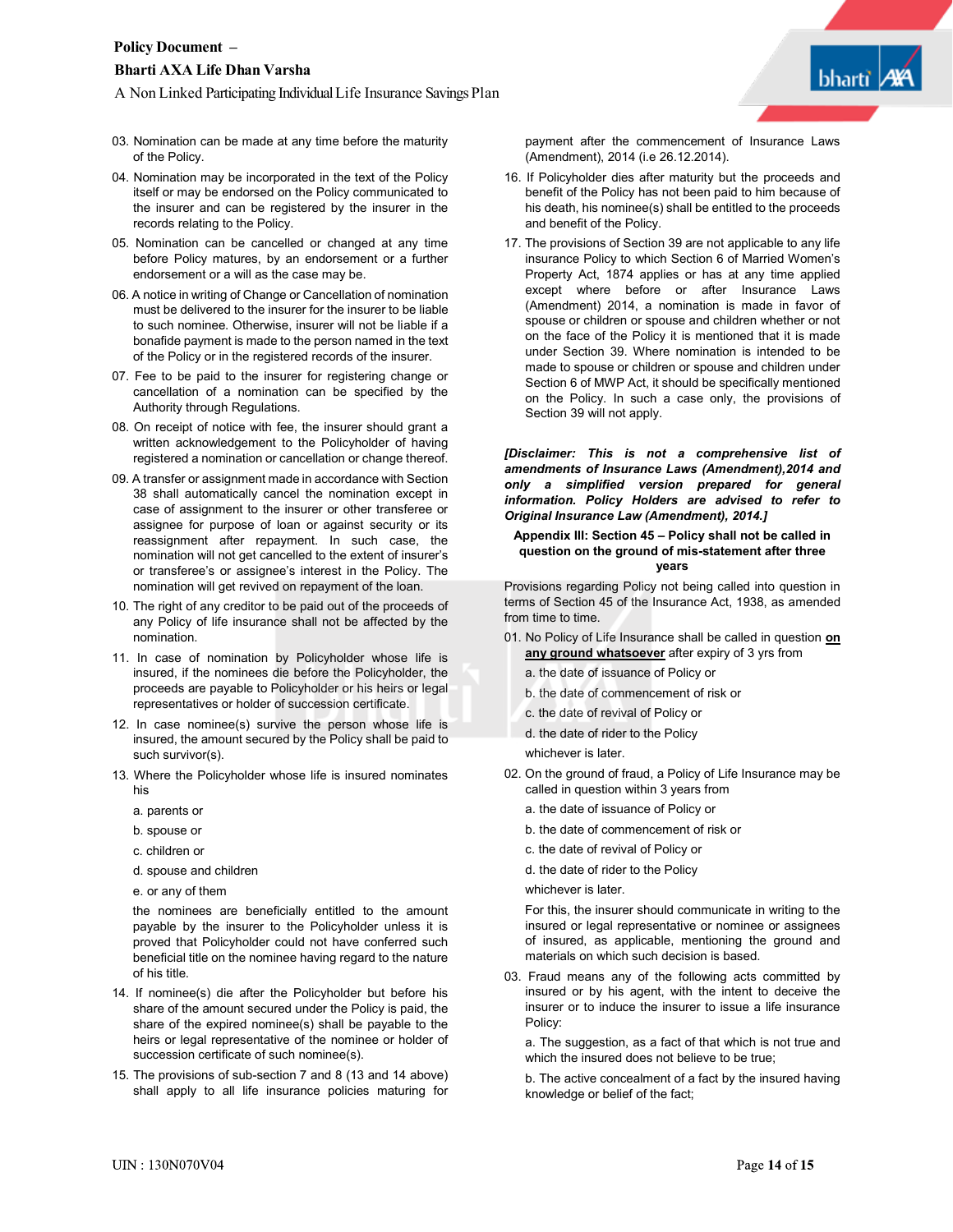A Non Linked Participating IndividualLife Insurance Savings Plan

- 03. Nomination can be made at any time before the maturity of the Policy.
- 04. Nomination may be incorporated in the text of the Policy itself or may be endorsed on the Policy communicated to the insurer and can be registered by the insurer in the records relating to the Policy.
- 05. Nomination can be cancelled or changed at any time before Policy matures, by an endorsement or a further endorsement or a will as the case may be.
- 06. A notice in writing of Change or Cancellation of nomination must be delivered to the insurer for the insurer to be liable to such nominee. Otherwise, insurer will not be liable if a bonafide payment is made to the person named in the text of the Policy or in the registered records of the insurer.
- 07. Fee to be paid to the insurer for registering change or cancellation of a nomination can be specified by the Authority through Regulations.
- 08. On receipt of notice with fee, the insurer should grant a written acknowledgement to the Policyholder of having registered a nomination or cancellation or change thereof.
- 09. A transfer or assignment made in accordance with Section 38 shall automatically cancel the nomination except in case of assignment to the insurer or other transferee or assignee for purpose of loan or against security or its reassignment after repayment. In such case, the nomination will not get cancelled to the extent of insurer's or transferee's or assignee's interest in the Policy. The nomination will get revived on repayment of the loan.
- 10. The right of any creditor to be paid out of the proceeds of any Policy of life insurance shall not be affected by the nomination.
- 11. In case of nomination by Policyholder whose life is insured, if the nominees die before the Policyholder, the proceeds are payable to Policyholder or his heirs or legal representatives or holder of succession certificate.
- 12. In case nominee(s) survive the person whose life is insured, the amount secured by the Policy shall be paid to such survivor(s).
- 13. Where the Policyholder whose life is insured nominates his
	- a. parents or
	- b. spouse or
	- c. children or
	- d. spouse and children
	- e. or any of them

the nominees are beneficially entitled to the amount payable by the insurer to the Policyholder unless it is proved that Policyholder could not have conferred such beneficial title on the nominee having regard to the nature of his title.

- 14. If nominee(s) die after the Policyholder but before his share of the amount secured under the Policy is paid, the share of the expired nominee(s) shall be payable to the heirs or legal representative of the nominee or holder of succession certificate of such nominee(s).
- 15. The provisions of sub-section 7 and 8 (13 and 14 above) shall apply to all life insurance policies maturing for

payment after the commencement of Insurance Laws (Amendment), 2014 (i.e 26.12.2014).

- 16. If Policyholder dies after maturity but the proceeds and benefit of the Policy has not been paid to him because of his death, his nominee(s) shall be entitled to the proceeds and benefit of the Policy.
- 17. The provisions of Section 39 are not applicable to any life insurance Policy to which Section 6 of Married Women's Property Act, 1874 applies or has at any time applied except where before or after Insurance Laws (Amendment) 2014, a nomination is made in favor of spouse or children or spouse and children whether or not on the face of the Policy it is mentioned that it is made under Section 39. Where nomination is intended to be made to spouse or children or spouse and children under Section 6 of MWP Act, it should be specifically mentioned on the Policy. In such a case only, the provisions of Section 39 will not apply.

*[Disclaimer: This is not a comprehensive list of amendments of Insurance Laws (Amendment),2014 and only a simplified version prepared for general information. Policy Holders are advised to refer to Original Insurance Law (Amendment), 2014.]*

#### **Appendix III: Section 45 – Policy shall not be called in question on the ground of mis-statement after three years**

Provisions regarding Policy not being called into question in terms of Section 45 of the Insurance Act, 1938, as amended from time to time.

- 01. No Policy of Life Insurance shall be called in question **on any ground whatsoever** after expiry of 3 yrs from
	- a. the date of issuance of Policy or
	- b. the date of commencement of risk or
	- c. the date of revival of Policy or
	- d. the date of rider to the Policy

whichever is later.

- 02. On the ground of fraud, a Policy of Life Insurance may be called in question within 3 years from
	- a. the date of issuance of Policy or
	- b. the date of commencement of risk or
	- c. the date of revival of Policy or

d. the date of rider to the Policy

whichever is later.

For this, the insurer should communicate in writing to the insured or legal representative or nominee or assignees of insured, as applicable, mentioning the ground and materials on which such decision is based.

03. Fraud means any of the following acts committed by insured or by his agent, with the intent to deceive the insurer or to induce the insurer to issue a life insurance Policy:

a. The suggestion, as a fact of that which is not true and which the insured does not believe to be true;

b. The active concealment of a fact by the insured having knowledge or belief of the fact;